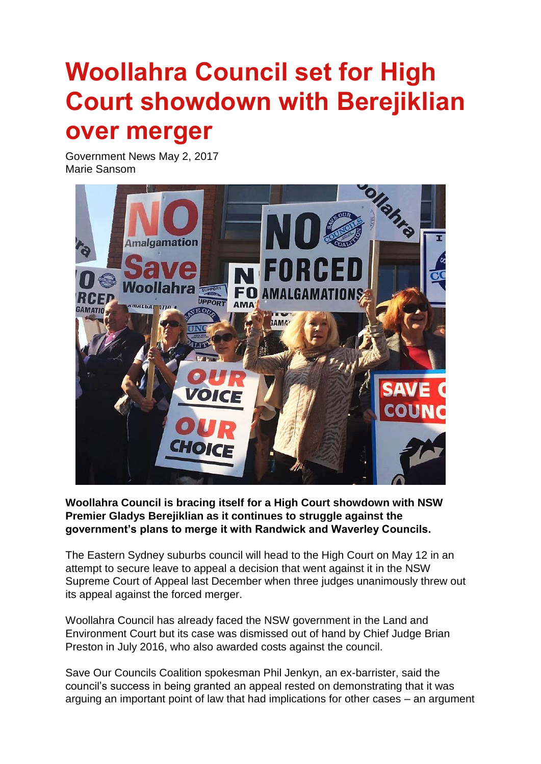## **Woollahra Council set for High Court showdown with Berejiklian over merger**

Government News May 2, 2017 Marie Sansom



**Woollahra Council is bracing itself for a High Court showdown with NSW Premier Gladys Berejiklian as it continues to struggle against the government's plans to merge it with Randwick and Waverley Councils.**

The Eastern Sydney suburbs council will head to the High Court on May 12 in an attempt to secure leave to appeal a decision that went against it in the NSW Supreme Court of Appeal last December when three judges unanimously threw out its appeal against the forced merger.

Woollahra Council has already faced the NSW government in the Land and Environment Court but its case was dismissed out of hand by Chief Judge Brian Preston in July 2016, who also awarded costs against the council.

Save Our Councils Coalition spokesman Phil Jenkyn, an ex-barrister, said the council"s success in being granted an appeal rested on demonstrating that it was arguing an important point of law that had implications for other cases – an argument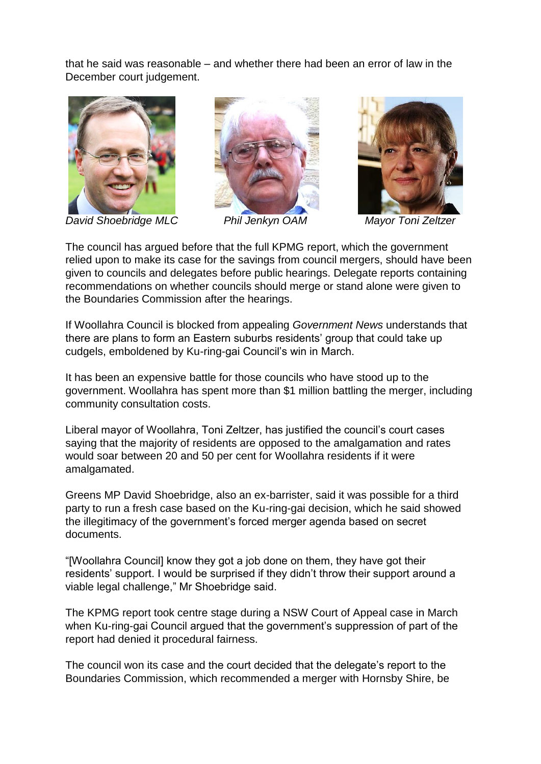that he said was reasonable – and whether there had been an error of law in the December court judgement.



*David Shoebridge MLC Phil Jenkyn OAM Mayor Toni Zeltzer*





The council has argued before that the full KPMG report, which the government relied upon to make its case for the savings from council mergers, should have been given to councils and delegates before public hearings. Delegate reports containing recommendations on whether councils should merge or stand alone were given to the Boundaries Commission after the hearings.

If Woollahra Council is blocked from appealing *Government News* understands that there are plans to form an Eastern suburbs residents" group that could take up cudgels, emboldened by Ku-ring-gai Council"s win in March.

It has been an expensive battle for those councils who have stood up to the government. Woollahra has spent more than \$1 million battling the merger, including community consultation costs.

Liberal mayor of Woollahra, Toni Zeltzer, has justified the council"s court cases saying that the majority of residents are opposed to the amalgamation and rates would soar between 20 and 50 per cent for Woollahra residents if it were amalgamated.

Greens MP David Shoebridge, also an ex-barrister, said it was possible for a third party to run a fresh case based on the Ku-ring-gai decision, which he said showed the illegitimacy of the government"s forced merger agenda based on secret documents.

"[Woollahra Council] know they got a job done on them, they have got their residents" support. I would be surprised if they didn"t throw their support around a viable legal challenge," Mr Shoebridge said.

The KPMG report took centre stage during a NSW Court of Appeal case in March when Ku-ring-gai Council argued that the government's suppression of part of the report had denied it procedural fairness.

The council won its case and the court decided that the delegate"s report to the Boundaries Commission, which recommended a merger with Hornsby Shire, be